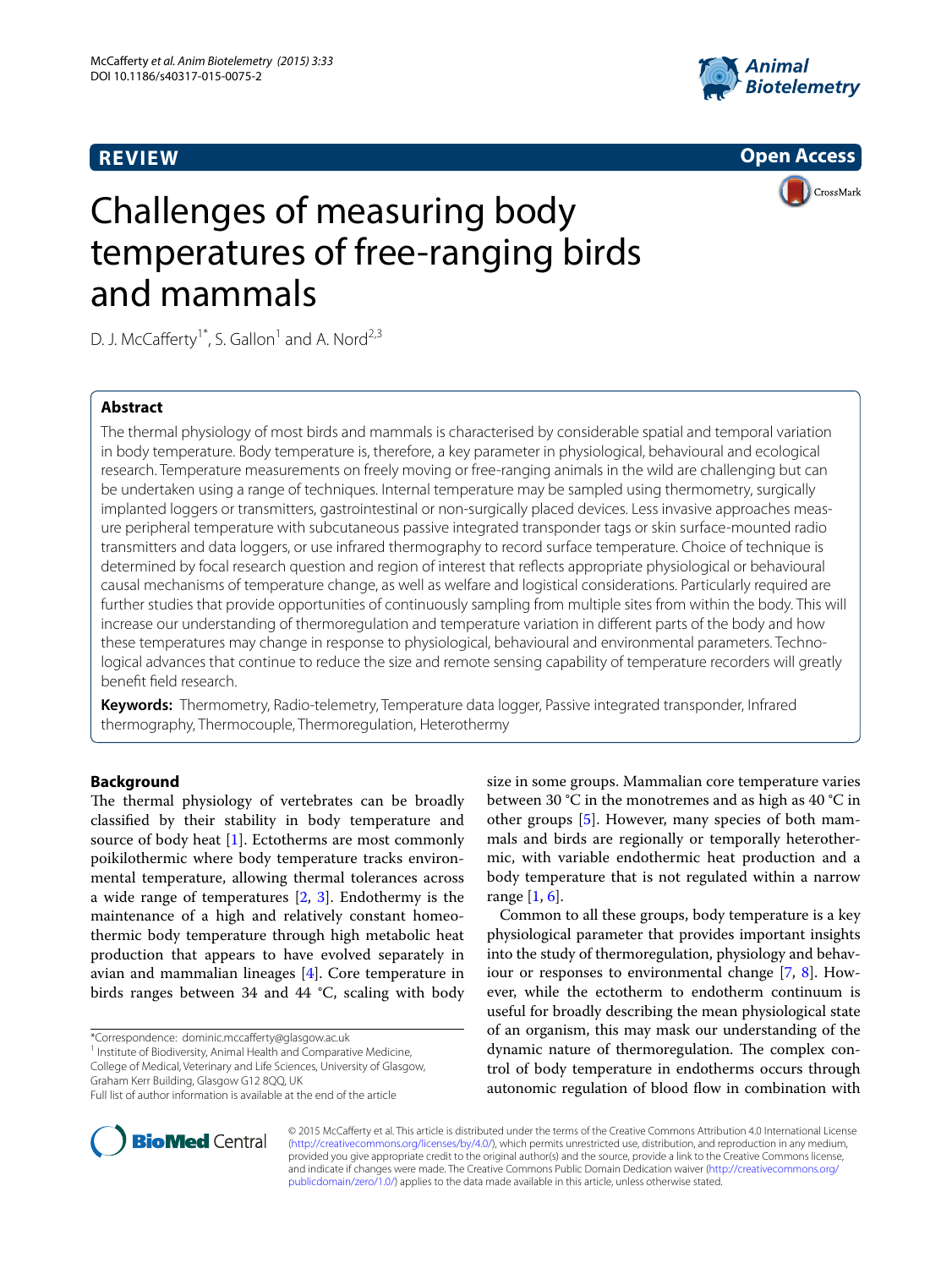# **REVIEW**



**Open Access**

CrossMark



D. J. McCafferty<sup>1\*</sup>, S. Gallon<sup>1</sup> and A. Nord<sup>2,3</sup>

# **Abstract**

The thermal physiology of most birds and mammals is characterised by considerable spatial and temporal variation in body temperature. Body temperature is, therefore, a key parameter in physiological, behavioural and ecological research. Temperature measurements on freely moving or free-ranging animals in the wild are challenging but can be undertaken using a range of techniques. Internal temperature may be sampled using thermometry, surgically implanted loggers or transmitters, gastrointestinal or non-surgically placed devices. Less invasive approaches measure peripheral temperature with subcutaneous passive integrated transponder tags or skin surface-mounted radio transmitters and data loggers, or use infrared thermography to record surface temperature. Choice of technique is determined by focal research question and region of interest that reflects appropriate physiological or behavioural causal mechanisms of temperature change, as well as welfare and logistical considerations. Particularly required are further studies that provide opportunities of continuously sampling from multiple sites from within the body. This will increase our understanding of thermoregulation and temperature variation in different parts of the body and how these temperatures may change in response to physiological, behavioural and environmental parameters. Technological advances that continue to reduce the size and remote sensing capability of temperature recorders will greatly benefit field research.

**Keywords:** Thermometry, Radio-telemetry, Temperature data logger, Passive integrated transponder, Infrared thermography, Thermocouple, Thermoregulation, Heterothermy

# **Background**

The thermal physiology of vertebrates can be broadly classified by their stability in body temperature and source of body heat [\[1](#page-7-0)]. Ectotherms are most commonly poikilothermic where body temperature tracks environmental temperature, allowing thermal tolerances across a wide range of temperatures [[2,](#page-7-1) [3](#page-7-2)]. Endothermy is the maintenance of a high and relatively constant homeothermic body temperature through high metabolic heat production that appears to have evolved separately in avian and mammalian lineages [[4](#page-7-3)]. Core temperature in birds ranges between 34 and 44 °C, scaling with body

<sup>1</sup> Institute of Biodiversity, Animal Health and Comparative Medicine,

College of Medical, Veterinary and Life Sciences, University of Glasgow,

Graham Kerr Building, Glasgow G12 8QQ, UK

size in some groups. Mammalian core temperature varies between 30 °C in the monotremes and as high as 40 °C in other groups [\[5\]](#page-7-4). However, many species of both mammals and birds are regionally or temporally heterothermic, with variable endothermic heat production and a body temperature that is not regulated within a narrow range [\[1,](#page-7-0) [6](#page-7-5)].

Common to all these groups, body temperature is a key physiological parameter that provides important insights into the study of thermoregulation, physiology and behaviour or responses to environmental change [[7,](#page-7-6) [8](#page-7-7)]. However, while the ectotherm to endotherm continuum is useful for broadly describing the mean physiological state of an organism, this may mask our understanding of the dynamic nature of thermoregulation. The complex control of body temperature in endotherms occurs through autonomic regulation of blood flow in combination with



© 2015 McCafferty et al. This article is distributed under the terms of the Creative Commons Attribution 4.0 International License [\(http://creativecommons.org/licenses/by/4.0/\)](http://creativecommons.org/licenses/by/4.0/), which permits unrestricted use, distribution, and reproduction in any medium, provided you give appropriate credit to the original author(s) and the source, provide a link to the Creative Commons license, and indicate if changes were made. The Creative Commons Public Domain Dedication waiver ([http://creativecommons.org/](http://creativecommons.org/publicdomain/zero/1.0/) [publicdomain/zero/1.0/](http://creativecommons.org/publicdomain/zero/1.0/)) applies to the data made available in this article, unless otherwise stated.

<sup>\*</sup>Correspondence: dominic.mccafferty@glasgow.ac.uk

Full list of author information is available at the end of the article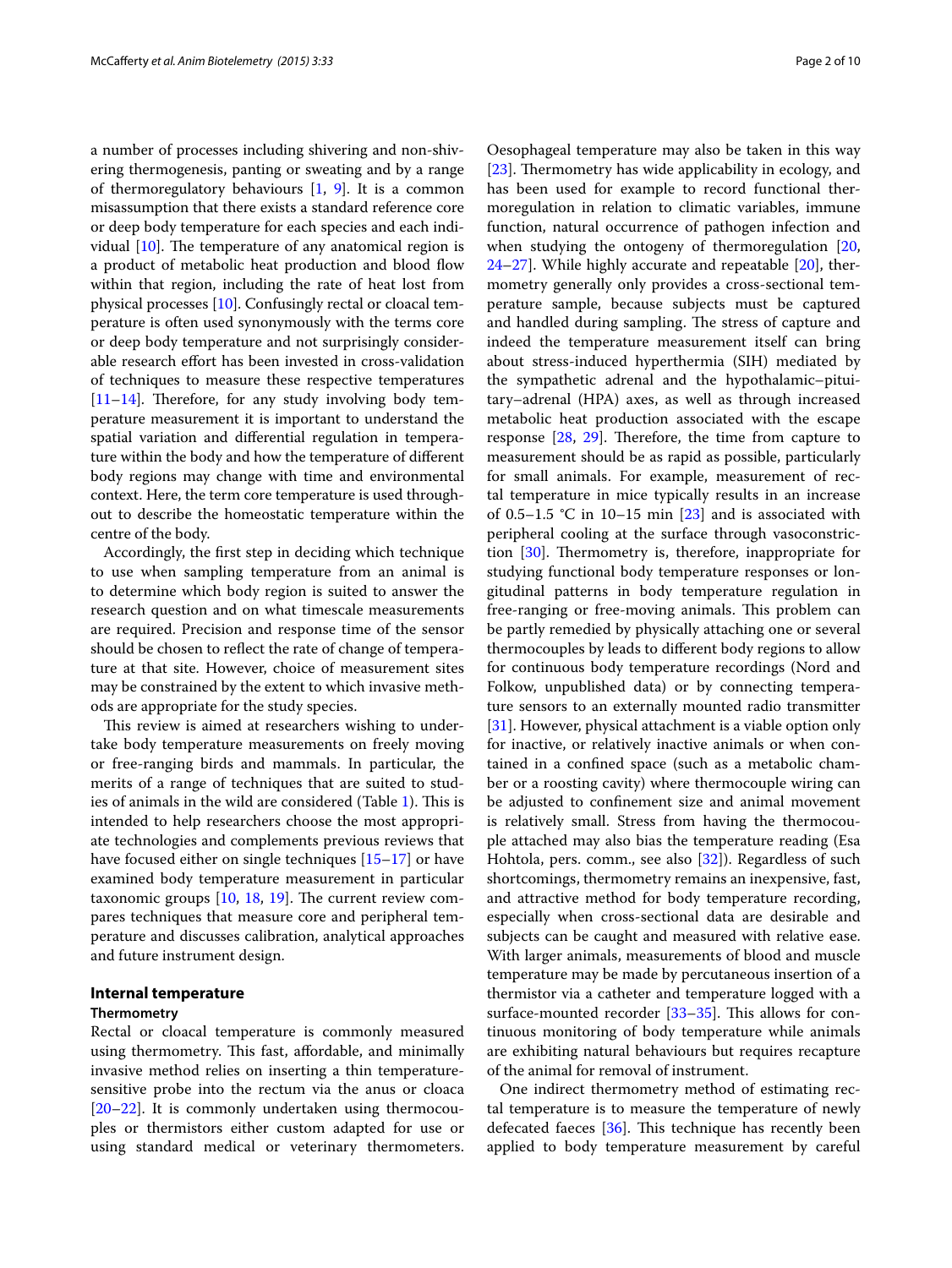a number of processes including shivering and non-shivering thermogenesis, panting or sweating and by a range of thermoregulatory behaviours  $[1, 9]$  $[1, 9]$  $[1, 9]$ . It is a common misassumption that there exists a standard reference core or deep body temperature for each species and each individual  $[10]$  $[10]$ . The temperature of any anatomical region is a product of metabolic heat production and blood flow within that region, including the rate of heat lost from physical processes [[10\]](#page-7-9). Confusingly rectal or cloacal temperature is often used synonymously with the terms core or deep body temperature and not surprisingly considerable research effort has been invested in cross-validation of techniques to measure these respective temperatures  $[11–14]$  $[11–14]$  $[11–14]$  $[11–14]$ . Therefore, for any study involving body temperature measurement it is important to understand the spatial variation and differential regulation in temperature within the body and how the temperature of different body regions may change with time and environmental context. Here, the term core temperature is used throughout to describe the homeostatic temperature within the centre of the body.

Accordingly, the first step in deciding which technique to use when sampling temperature from an animal is to determine which body region is suited to answer the research question and on what timescale measurements are required. Precision and response time of the sensor should be chosen to reflect the rate of change of temperature at that site. However, choice of measurement sites may be constrained by the extent to which invasive methods are appropriate for the study species.

This review is aimed at researchers wishing to undertake body temperature measurements on freely moving or free-ranging birds and mammals. In particular, the merits of a range of techniques that are suited to studies of animals in the wild are considered (Table [1](#page-2-0)). This is intended to help researchers choose the most appropriate technologies and complements previous reviews that have focused either on single techniques [[15–](#page-7-12)[17](#page-7-13)] or have examined body temperature measurement in particular taxonomic groups [[10,](#page-7-9) [18,](#page-7-14) [19](#page-7-15)]. The current review compares techniques that measure core and peripheral temperature and discusses calibration, analytical approaches and future instrument design.

# **Internal temperature**

### **Thermometry**

Rectal or cloacal temperature is commonly measured using thermometry. This fast, affordable, and minimally invasive method relies on inserting a thin temperaturesensitive probe into the rectum via the anus or cloaca [[20–](#page-7-16)[22](#page-7-17)]. It is commonly undertaken using thermocouples or thermistors either custom adapted for use or using standard medical or veterinary thermometers.

Oesophageal temperature may also be taken in this way [[23\]](#page-7-18). Thermometry has wide applicability in ecology, and has been used for example to record functional thermoregulation in relation to climatic variables, immune function, natural occurrence of pathogen infection and when studying the ontogeny of thermoregulation [[20](#page-7-16),  $24-27$  $24-27$ ]. While highly accurate and repeatable  $[20]$ , thermometry generally only provides a cross-sectional temperature sample, because subjects must be captured and handled during sampling. The stress of capture and indeed the temperature measurement itself can bring about stress-induced hyperthermia (SIH) mediated by the sympathetic adrenal and the hypothalamic–pituitary–adrenal (HPA) axes, as well as through increased metabolic heat production associated with the escape response [[28](#page-7-21), [29\]](#page-7-22). Therefore, the time from capture to measurement should be as rapid as possible, particularly for small animals. For example, measurement of rectal temperature in mice typically results in an increase of 0.5–1.5 °C in 10–15 min [\[23](#page-7-18)] and is associated with peripheral cooling at the surface through vasoconstriction [[30\]](#page-7-23). Thermometry is, therefore, inappropriate for studying functional body temperature responses or longitudinal patterns in body temperature regulation in free-ranging or free-moving animals. This problem can be partly remedied by physically attaching one or several thermocouples by leads to different body regions to allow for continuous body temperature recordings (Nord and Folkow, unpublished data) or by connecting temperature sensors to an externally mounted radio transmitter [[31\]](#page-7-24). However, physical attachment is a viable option only for inactive, or relatively inactive animals or when contained in a confined space (such as a metabolic chamber or a roosting cavity) where thermocouple wiring can be adjusted to confinement size and animal movement is relatively small. Stress from having the thermocouple attached may also bias the temperature reading (Esa Hohtola, pers. comm., see also [[32\]](#page-8-0)). Regardless of such shortcomings, thermometry remains an inexpensive, fast, and attractive method for body temperature recording, especially when cross-sectional data are desirable and subjects can be caught and measured with relative ease. With larger animals, measurements of blood and muscle temperature may be made by percutaneous insertion of a thermistor via a catheter and temperature logged with a surface-mounted recorder [[33–](#page-8-1)[35\]](#page-8-2). This allows for continuous monitoring of body temperature while animals are exhibiting natural behaviours but requires recapture of the animal for removal of instrument.

One indirect thermometry method of estimating rectal temperature is to measure the temperature of newly defecated faeces [[36](#page-8-3)]. This technique has recently been applied to body temperature measurement by careful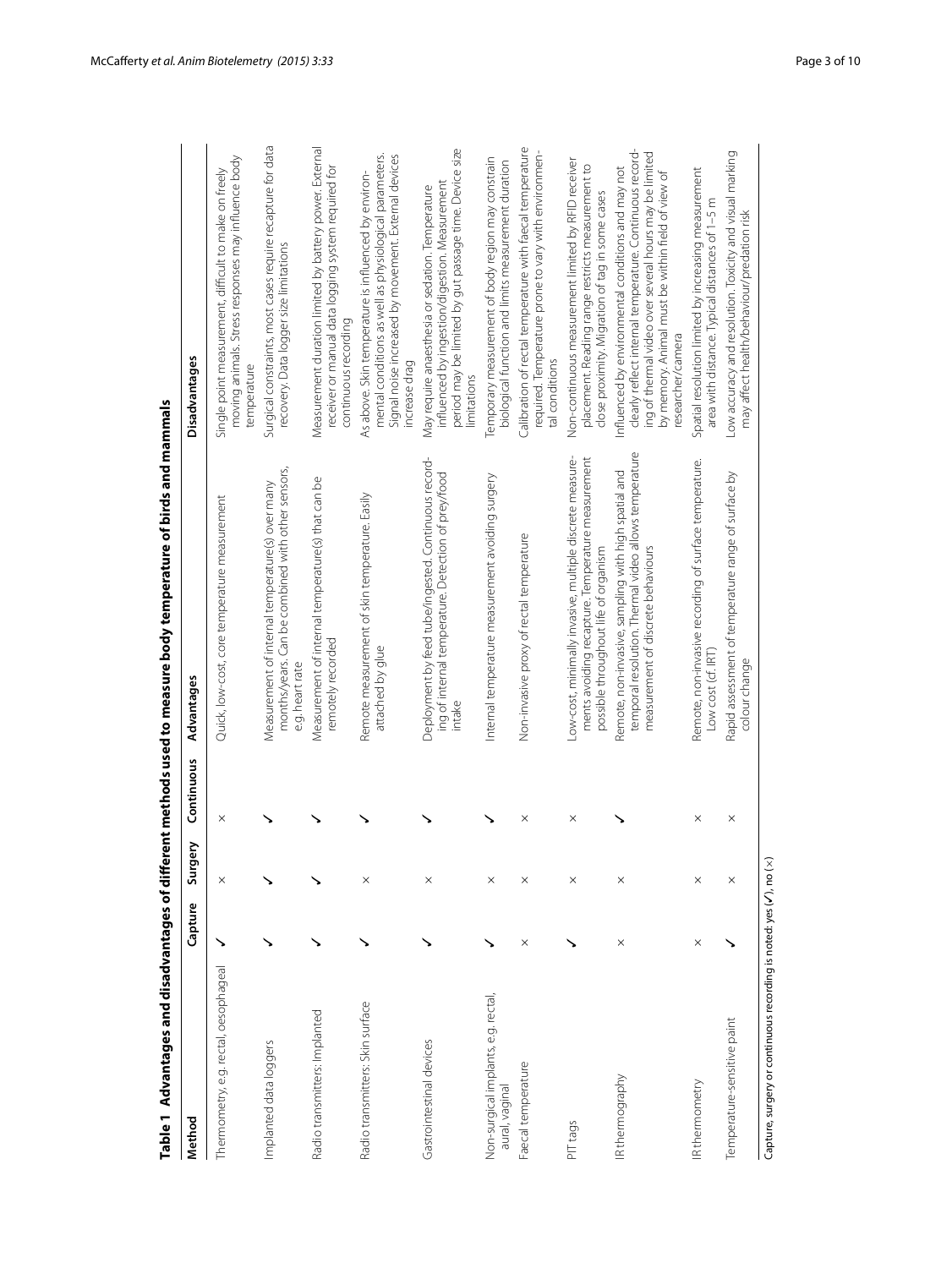|                                                                     |          |          |            | Table 1  Advantages and disadvantages of different methods used to measure body temperature of birds and mammals                                      |                                                                                                                                                                                                                                                    |
|---------------------------------------------------------------------|----------|----------|------------|-------------------------------------------------------------------------------------------------------------------------------------------------------|----------------------------------------------------------------------------------------------------------------------------------------------------------------------------------------------------------------------------------------------------|
| Method                                                              | Capture  | Surgery  | Continuous | Advantages                                                                                                                                            | Disadvantages                                                                                                                                                                                                                                      |
| Thermometry, e.g. rectal, oesophageal                               | ↘        | $\times$ | $\times$   | Quick, low-cost, core temperature measurement                                                                                                         | moving animals. Stress responses may influence body<br>Single point measurement, difficult to make on freely<br>temperature                                                                                                                        |
| Implanted data loggers                                              |          |          | ↘          | months/years. Can be combined with other sensors,<br>Measurement of internal temperature(s) over many<br>e.g. heart rate                              | Surgical constraints, most cases require recapture for data<br>recovery. Data logger size limitations                                                                                                                                              |
| Radio transmitters: Implanted                                       |          |          | ↘          | Measurement of internal temperature(s) that can be<br>remotely recorded                                                                               | Measurement duration limited by battery power. External<br>receiver or manual data logging system required for<br>continuous recording                                                                                                             |
| Radio transmitters: Skin surface                                    |          | $\times$ | ↘          | Remote measurement of skin temperature. Easily<br>attached by glue                                                                                    | mental conditions as well as physiological parameters.<br>Signal noise increased by movement. External devices<br>As above. Skin temperature is influenced by environ-<br>increase drag                                                            |
| Gastrointestinal devices                                            |          | $\times$ | ↘          | Deployment by feed tube/ingested. Continuous record-<br>ing of internal temperature. Detection of prey/food<br>intake                                 | period may be limited by gut passage time. Device size<br>influenced by ingestion/digestion. Measurement<br>May require anaesthesia or sedation. Temperature<br>limitations                                                                        |
| Non-surgical implants, e.g. rectal,<br>aural, vaginal               | ↘        | $\times$ | ↘          | Internal temperature measurement avoiding surgery                                                                                                     | Temporary measurement of body region may constrain<br>biological function and limits measurement duration                                                                                                                                          |
| Faecal temperature                                                  | $\times$ | $\times$ | $\times$   | Non-invasive proxy of rectal temperature                                                                                                              | Calibration of rectal temperature with faecal temperature<br>required. Temperature prone to vary with environmen-<br>tal conditions                                                                                                                |
| PIT tags                                                            |          | $\times$ | ×          | Low-cost, minimally invasive, multiple discrete measure-<br>ments avoiding recapture. Temperature measurement<br>possible throughout life of organism | Non-continuous measurement limited by RFID receiver<br>placement. Reading range restricts measurement to<br>close proximity. Migration of tag in some cases                                                                                        |
| IR thermography                                                     | ×        | ×        | ↘          | temporal resolution. Thermal video allows temperature<br>Remote, non-invasive, sampling with high spatial and<br>measurement of discrete behaviours   | clearly reflect internal temperature. Continuous record-<br>ing of thermal video over several hours may be limited<br>Influenced by environmental conditions and may not<br>by memory. Animal must be within field of view of<br>researcher/camera |
| IR thermometry                                                      | $\times$ | $\times$ | ×          | Remote, non-invasive recording of surface temperature.<br>Low cost (cf. IRT)                                                                          | Spatial resolution limited by increasing measurement<br>area with distance. Typical distances of 1-5 m                                                                                                                                             |
| Temperature-sensitive paint                                         |          | $\times$ | ×          | Rapid assessment of temperature range of surface by<br>colour change                                                                                  | Low accuracy and resolution. Toxicity and visual marking<br>may affect health/behaviour/predation risk                                                                                                                                             |
| Capture, surgery or continuous recording is noted: yes (v'), no (x) |          |          |            |                                                                                                                                                       |                                                                                                                                                                                                                                                    |

<span id="page-2-0"></span>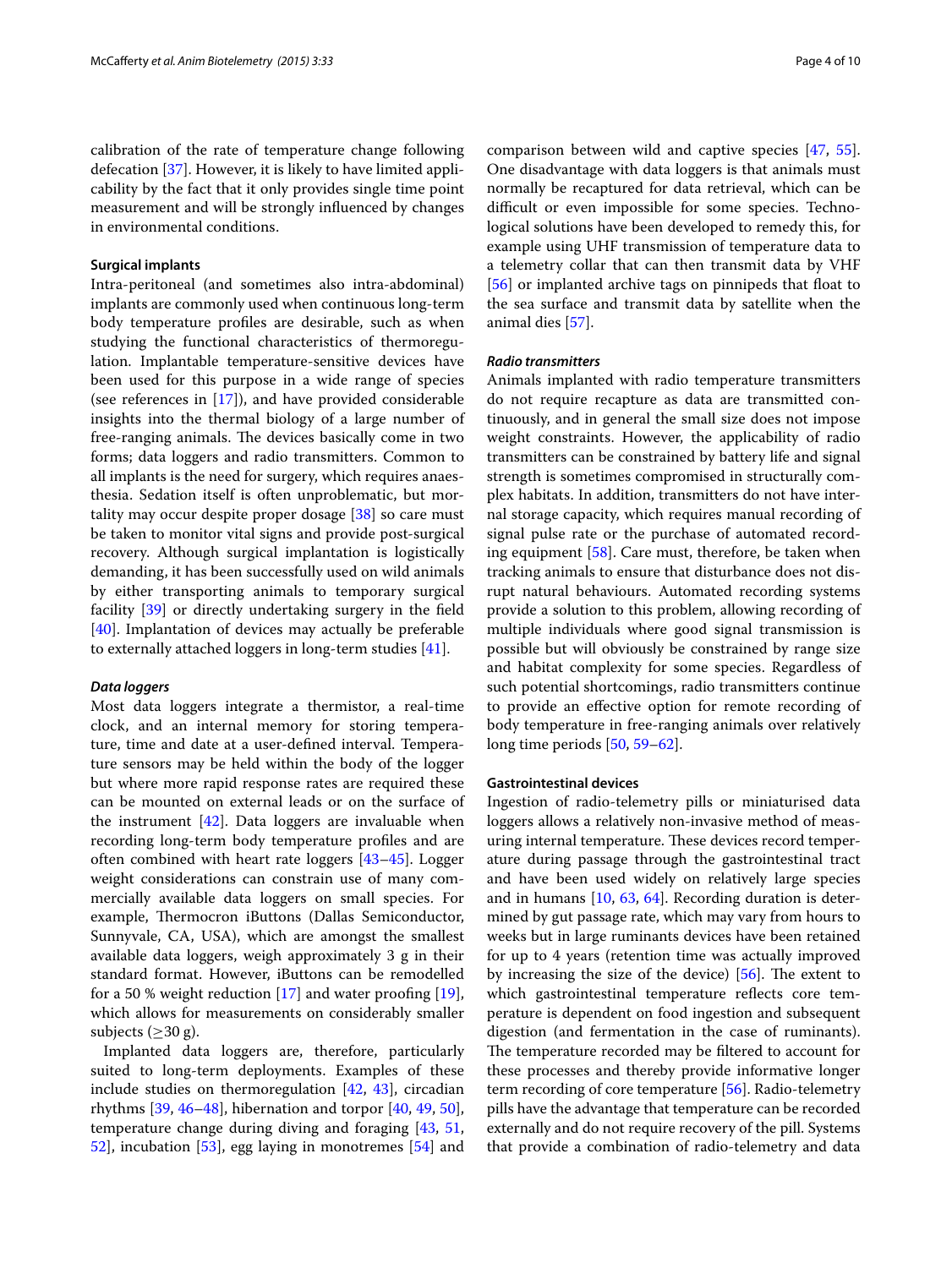calibration of the rate of temperature change following defecation [[37\]](#page-8-4). However, it is likely to have limited applicability by the fact that it only provides single time point measurement and will be strongly influenced by changes in environmental conditions.

#### **Surgical implants**

Intra-peritoneal (and sometimes also intra-abdominal) implants are commonly used when continuous long-term body temperature profiles are desirable, such as when studying the functional characteristics of thermoregulation. Implantable temperature-sensitive devices have been used for this purpose in a wide range of species (see references in  $[17]$  $[17]$ ), and have provided considerable insights into the thermal biology of a large number of free-ranging animals. The devices basically come in two forms; data loggers and radio transmitters. Common to all implants is the need for surgery, which requires anaesthesia. Sedation itself is often unproblematic, but mortality may occur despite proper dosage  $[38]$  $[38]$  so care must be taken to monitor vital signs and provide post-surgical recovery. Although surgical implantation is logistically demanding, it has been successfully used on wild animals by either transporting animals to temporary surgical facility [\[39](#page-8-6)] or directly undertaking surgery in the field [[40\]](#page-8-7). Implantation of devices may actually be preferable to externally attached loggers in long-term studies [[41](#page-8-8)].

#### *Data loggers*

Most data loggers integrate a thermistor, a real-time clock, and an internal memory for storing temperature, time and date at a user-defined interval. Temperature sensors may be held within the body of the logger but where more rapid response rates are required these can be mounted on external leads or on the surface of the instrument [[42](#page-8-9)]. Data loggers are invaluable when recording long-term body temperature profiles and are often combined with heart rate loggers [[43](#page-8-10)[–45](#page-8-11)]. Logger weight considerations can constrain use of many commercially available data loggers on small species. For example, Thermocron iButtons (Dallas Semiconductor, Sunnyvale, CA, USA), which are amongst the smallest available data loggers, weigh approximately 3 g in their standard format. However, iButtons can be remodelled for a 50 % weight reduction  $[17]$  $[17]$  and water proofing  $[19]$  $[19]$ , which allows for measurements on considerably smaller subjects ( $\geq$ 30 g).

Implanted data loggers are, therefore, particularly suited to long-term deployments. Examples of these include studies on thermoregulation [\[42](#page-8-9), [43](#page-8-10)], circadian rhythms [[39,](#page-8-6) [46](#page-8-12)[–48](#page-8-13)], hibernation and torpor [[40,](#page-8-7) [49](#page-8-14), [50](#page-8-15)], temperature change during diving and foraging [[43,](#page-8-10) [51](#page-8-16), [52\]](#page-8-17), incubation [[53\]](#page-8-18), egg laying in monotremes [\[54\]](#page-8-19) and

comparison between wild and captive species [\[47,](#page-8-20) [55](#page-8-21)]. One disadvantage with data loggers is that animals must normally be recaptured for data retrieval, which can be difficult or even impossible for some species. Technological solutions have been developed to remedy this, for example using UHF transmission of temperature data to a telemetry collar that can then transmit data by VHF [[56\]](#page-8-22) or implanted archive tags on pinnipeds that float to the sea surface and transmit data by satellite when the animal dies [[57](#page-8-23)].

# *Radio transmitters*

Animals implanted with radio temperature transmitters do not require recapture as data are transmitted continuously, and in general the small size does not impose weight constraints. However, the applicability of radio transmitters can be constrained by battery life and signal strength is sometimes compromised in structurally complex habitats. In addition, transmitters do not have internal storage capacity, which requires manual recording of signal pulse rate or the purchase of automated recording equipment [\[58](#page-8-24)]. Care must, therefore, be taken when tracking animals to ensure that disturbance does not disrupt natural behaviours. Automated recording systems provide a solution to this problem, allowing recording of multiple individuals where good signal transmission is possible but will obviously be constrained by range size and habitat complexity for some species. Regardless of such potential shortcomings, radio transmitters continue to provide an effective option for remote recording of body temperature in free-ranging animals over relatively long time periods [[50,](#page-8-15) [59](#page-8-25)[–62\]](#page-8-26).

### **Gastrointestinal devices**

Ingestion of radio-telemetry pills or miniaturised data loggers allows a relatively non-invasive method of measuring internal temperature. These devices record temperature during passage through the gastrointestinal tract and have been used widely on relatively large species and in humans [[10,](#page-7-9) [63,](#page-8-27) [64\]](#page-8-28). Recording duration is determined by gut passage rate, which may vary from hours to weeks but in large ruminants devices have been retained for up to 4 years (retention time was actually improved by increasing the size of the device) [\[56](#page-8-22)]. The extent to which gastrointestinal temperature reflects core temperature is dependent on food ingestion and subsequent digestion (and fermentation in the case of ruminants). The temperature recorded may be filtered to account for these processes and thereby provide informative longer term recording of core temperature [\[56](#page-8-22)]. Radio-telemetry pills have the advantage that temperature can be recorded externally and do not require recovery of the pill. Systems that provide a combination of radio-telemetry and data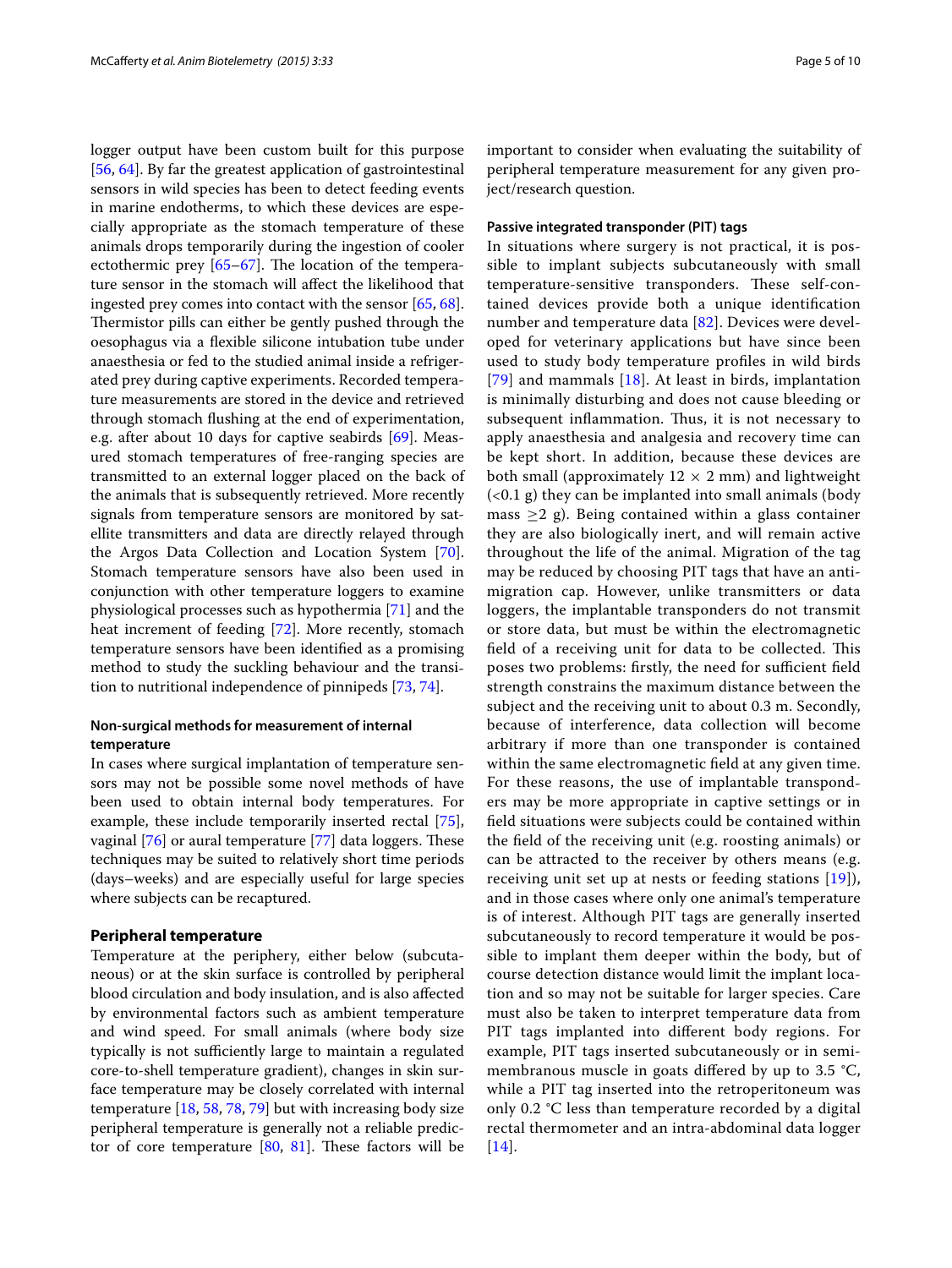logger output have been custom built for this purpose [[56,](#page-8-22) [64](#page-8-28)]. By far the greatest application of gastrointestinal sensors in wild species has been to detect feeding events in marine endotherms, to which these devices are especially appropriate as the stomach temperature of these animals drops temporarily during the ingestion of cooler ectothermic prey [[65](#page-8-29)[–67](#page-8-30)]. The location of the temperature sensor in the stomach will affect the likelihood that ingested prey comes into contact with the sensor [[65,](#page-8-29) [68](#page-8-31)]. Thermistor pills can either be gently pushed through the oesophagus via a flexible silicone intubation tube under anaesthesia or fed to the studied animal inside a refrigerated prey during captive experiments. Recorded temperature measurements are stored in the device and retrieved through stomach flushing at the end of experimentation, e.g. after about 10 days for captive seabirds [\[69\]](#page-8-32). Measured stomach temperatures of free-ranging species are transmitted to an external logger placed on the back of the animals that is subsequently retrieved. More recently signals from temperature sensors are monitored by satellite transmitters and data are directly relayed through the Argos Data Collection and Location System [\[70](#page-8-33)]. Stomach temperature sensors have also been used in conjunction with other temperature loggers to examine physiological processes such as hypothermia [\[71](#page-8-34)] and the heat increment of feeding [[72](#page-8-35)]. More recently, stomach temperature sensors have been identified as a promising method to study the suckling behaviour and the transition to nutritional independence of pinnipeds [\[73](#page-8-36), [74](#page-9-0)].

# **Non‑surgical methods for measurement of internal temperature**

In cases where surgical implantation of temperature sensors may not be possible some novel methods of have been used to obtain internal body temperatures. For example, these include temporarily inserted rectal [\[75](#page-9-1)], vaginal [\[76](#page-9-2)] or aural temperature [\[77](#page-9-3)] data loggers. These techniques may be suited to relatively short time periods (days–weeks) and are especially useful for large species where subjects can be recaptured.

### **Peripheral temperature**

Temperature at the periphery, either below (subcutaneous) or at the skin surface is controlled by peripheral blood circulation and body insulation, and is also affected by environmental factors such as ambient temperature and wind speed. For small animals (where body size typically is not sufficiently large to maintain a regulated core-to-shell temperature gradient), changes in skin surface temperature may be closely correlated with internal temperature [[18,](#page-7-14) [58,](#page-8-24) [78](#page-9-4), [79\]](#page-9-5) but with increasing body size peripheral temperature is generally not a reliable predictor of core temperature  $[80, 81]$  $[80, 81]$  $[80, 81]$ . These factors will be important to consider when evaluating the suitability of peripheral temperature measurement for any given project/research question.

### **Passive integrated transponder (PIT) tags**

In situations where surgery is not practical, it is possible to implant subjects subcutaneously with small temperature-sensitive transponders. These self-contained devices provide both a unique identification number and temperature data [[82\]](#page-9-8). Devices were developed for veterinary applications but have since been used to study body temperature profiles in wild birds [[79](#page-9-5)] and mammals  $[18]$  $[18]$  $[18]$ . At least in birds, implantation is minimally disturbing and does not cause bleeding or subsequent inflammation. Thus, it is not necessary to apply anaesthesia and analgesia and recovery time can be kept short. In addition, because these devices are both small (approximately  $12 \times 2$  mm) and lightweight  $( $0.1 \text{ g}$ )$  they can be implanted into small animals (body mass  $>2$  g). Being contained within a glass container they are also biologically inert, and will remain active throughout the life of the animal. Migration of the tag may be reduced by choosing PIT tags that have an antimigration cap. However, unlike transmitters or data loggers, the implantable transponders do not transmit or store data, but must be within the electromagnetic field of a receiving unit for data to be collected. This poses two problems: firstly, the need for sufficient field strength constrains the maximum distance between the subject and the receiving unit to about 0.3 m. Secondly, because of interference, data collection will become arbitrary if more than one transponder is contained within the same electromagnetic field at any given time. For these reasons, the use of implantable transponders may be more appropriate in captive settings or in field situations were subjects could be contained within the field of the receiving unit (e.g. roosting animals) or can be attracted to the receiver by others means (e.g. receiving unit set up at nests or feeding stations [[19\]](#page-7-15)), and in those cases where only one animal's temperature is of interest. Although PIT tags are generally inserted subcutaneously to record temperature it would be possible to implant them deeper within the body, but of course detection distance would limit the implant location and so may not be suitable for larger species. Care must also be taken to interpret temperature data from PIT tags implanted into different body regions. For example, PIT tags inserted subcutaneously or in semimembranous muscle in goats differed by up to 3.5 °C, while a PIT tag inserted into the retroperitoneum was only 0.2 °C less than temperature recorded by a digital rectal thermometer and an intra-abdominal data logger [[14](#page-7-11)].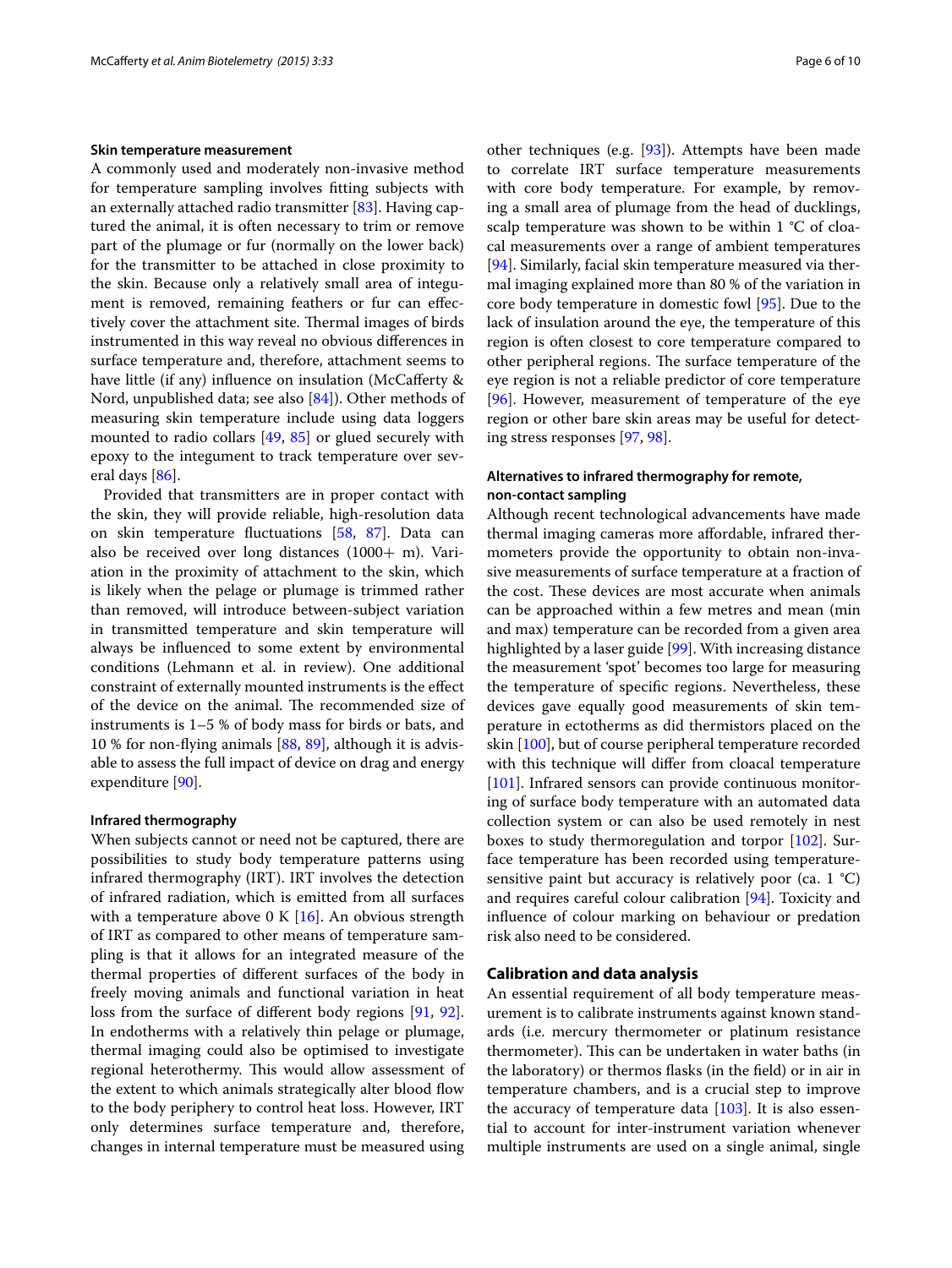#### **Skin temperature measurement**

A commonly used and moderately non-invasive method for temperature sampling involves fitting subjects with an externally attached radio transmitter [[83\]](#page-9-9). Having captured the animal, it is often necessary to trim or remove part of the plumage or fur (normally on the lower back) for the transmitter to be attached in close proximity to the skin. Because only a relatively small area of integument is removed, remaining feathers or fur can effectively cover the attachment site. Thermal images of birds instrumented in this way reveal no obvious differences in surface temperature and, therefore, attachment seems to have little (if any) influence on insulation (McCafferty & Nord, unpublished data; see also [[84\]](#page-9-10)). Other methods of measuring skin temperature include using data loggers mounted to radio collars [\[49](#page-8-14), [85](#page-9-11)] or glued securely with epoxy to the integument to track temperature over several days [[86\]](#page-9-12).

Provided that transmitters are in proper contact with the skin, they will provide reliable, high-resolution data on skin temperature fluctuations [[58,](#page-8-24) [87\]](#page-9-13). Data can also be received over long distances  $(1000+ m)$ . Variation in the proximity of attachment to the skin, which is likely when the pelage or plumage is trimmed rather than removed, will introduce between-subject variation in transmitted temperature and skin temperature will always be influenced to some extent by environmental conditions (Lehmann et al. in review). One additional constraint of externally mounted instruments is the effect of the device on the animal. The recommended size of instruments is 1–5 % of body mass for birds or bats, and 10 % for non-flying animals [\[88](#page-9-14), [89\]](#page-9-15), although it is advisable to assess the full impact of device on drag and energy expenditure [\[90\]](#page-9-16).

### **Infrared thermography**

When subjects cannot or need not be captured, there are possibilities to study body temperature patterns using infrared thermography (IRT). IRT involves the detection of infrared radiation, which is emitted from all surfaces with a temperature above 0 K  $[16]$  $[16]$ . An obvious strength of IRT as compared to other means of temperature sampling is that it allows for an integrated measure of the thermal properties of different surfaces of the body in freely moving animals and functional variation in heat loss from the surface of different body regions [[91](#page-9-17), [92](#page-9-18)]. In endotherms with a relatively thin pelage or plumage, thermal imaging could also be optimised to investigate regional heterothermy. This would allow assessment of the extent to which animals strategically alter blood flow to the body periphery to control heat loss. However, IRT only determines surface temperature and, therefore, changes in internal temperature must be measured using other techniques (e.g. [\[93\]](#page-9-19)). Attempts have been made to correlate IRT surface temperature measurements with core body temperature. For example, by removing a small area of plumage from the head of ducklings, scalp temperature was shown to be within 1 °C of cloacal measurements over a range of ambient temperatures [[94\]](#page-9-20). Similarly, facial skin temperature measured via thermal imaging explained more than 80 % of the variation in core body temperature in domestic fowl [\[95](#page-9-21)]. Due to the lack of insulation around the eye, the temperature of this region is often closest to core temperature compared to other peripheral regions. The surface temperature of the eye region is not a reliable predictor of core temperature [[96\]](#page-9-22). However, measurement of temperature of the eye region or other bare skin areas may be useful for detecting stress responses [[97,](#page-9-23) [98\]](#page-9-24).

# **Alternatives to infrared thermography for remote, non‑contact sampling**

Although recent technological advancements have made thermal imaging cameras more affordable, infrared thermometers provide the opportunity to obtain non-invasive measurements of surface temperature at a fraction of the cost. These devices are most accurate when animals can be approached within a few metres and mean (min and max) temperature can be recorded from a given area highlighted by a laser guide [[99](#page-9-25)]. With increasing distance the measurement 'spot' becomes too large for measuring the temperature of specific regions. Nevertheless, these devices gave equally good measurements of skin temperature in ectotherms as did thermistors placed on the skin [[100\]](#page-9-26), but of course peripheral temperature recorded with this technique will differ from cloacal temperature [[101\]](#page-9-27). Infrared sensors can provide continuous monitoring of surface body temperature with an automated data collection system or can also be used remotely in nest boxes to study thermoregulation and torpor [\[102](#page-9-28)]. Surface temperature has been recorded using temperaturesensitive paint but accuracy is relatively poor (ca.  $1 \text{ }^{\circ}C$ ) and requires careful colour calibration [\[94](#page-9-20)]. Toxicity and influence of colour marking on behaviour or predation risk also need to be considered.

# **Calibration and data analysis**

An essential requirement of all body temperature measurement is to calibrate instruments against known standards (i.e. mercury thermometer or platinum resistance thermometer). This can be undertaken in water baths (in the laboratory) or thermos flasks (in the field) or in air in temperature chambers, and is a crucial step to improve the accuracy of temperature data [\[103\]](#page-9-29). It is also essential to account for inter-instrument variation whenever multiple instruments are used on a single animal, single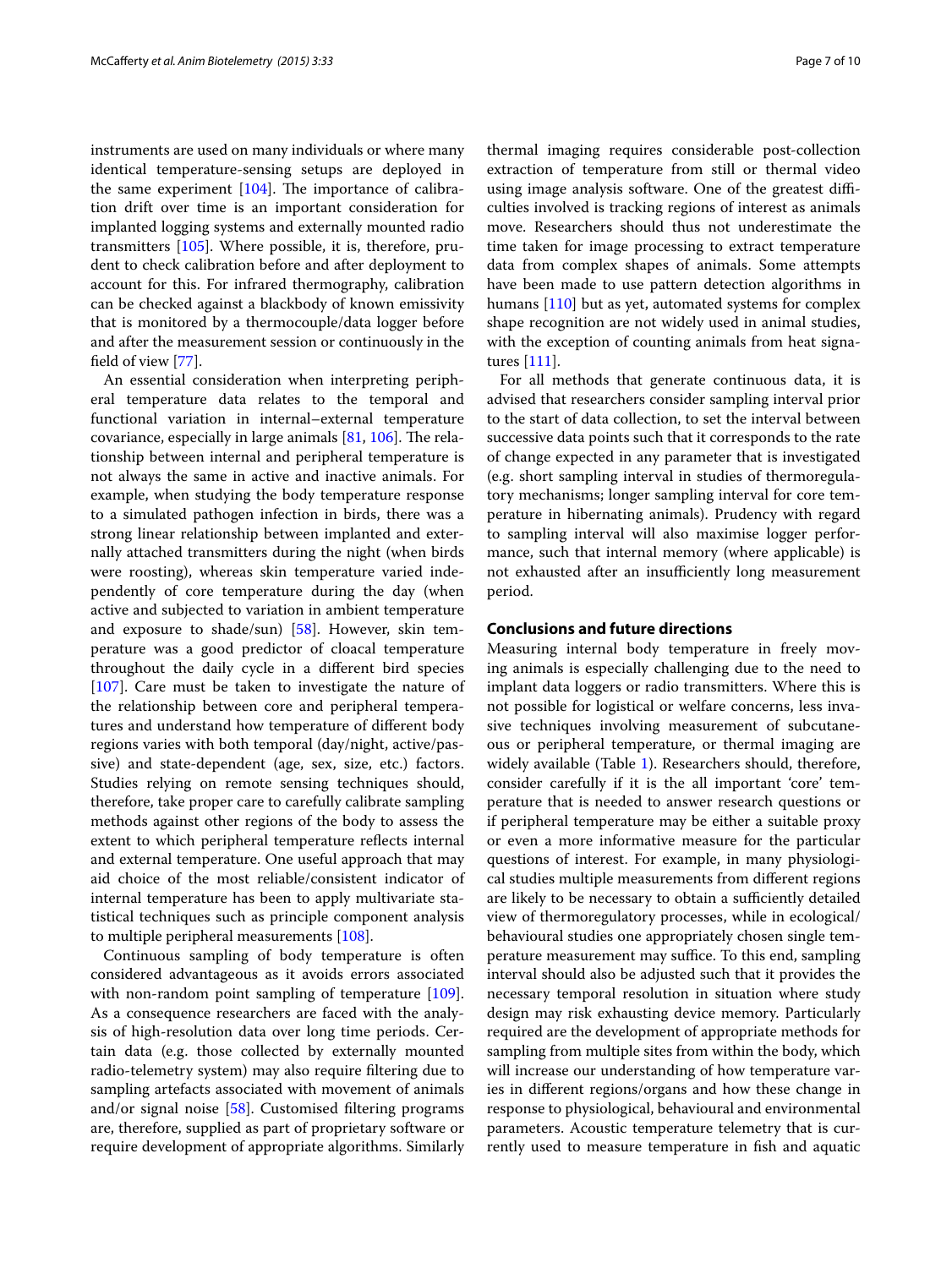instruments are used on many individuals or where many identical temperature-sensing setups are deployed in the same experiment [[104](#page-9-30)]. The importance of calibration drift over time is an important consideration for implanted logging systems and externally mounted radio transmitters [\[105](#page-9-31)]. Where possible, it is, therefore, prudent to check calibration before and after deployment to account for this. For infrared thermography, calibration can be checked against a blackbody of known emissivity that is monitored by a thermocouple/data logger before and after the measurement session or continuously in the field of view [\[77](#page-9-3)].

An essential consideration when interpreting peripheral temperature data relates to the temporal and functional variation in internal–external temperature covariance, especially in large animals [\[81,](#page-9-7) [106](#page-9-32)]. The relationship between internal and peripheral temperature is not always the same in active and inactive animals. For example, when studying the body temperature response to a simulated pathogen infection in birds, there was a strong linear relationship between implanted and externally attached transmitters during the night (when birds were roosting), whereas skin temperature varied independently of core temperature during the day (when active and subjected to variation in ambient temperature and exposure to shade/sun) [\[58](#page-8-24)]. However, skin temperature was a good predictor of cloacal temperature throughout the daily cycle in a different bird species [[107\]](#page-9-33). Care must be taken to investigate the nature of the relationship between core and peripheral temperatures and understand how temperature of different body regions varies with both temporal (day/night, active/passive) and state-dependent (age, sex, size, etc.) factors. Studies relying on remote sensing techniques should, therefore, take proper care to carefully calibrate sampling methods against other regions of the body to assess the extent to which peripheral temperature reflects internal and external temperature. One useful approach that may aid choice of the most reliable/consistent indicator of internal temperature has been to apply multivariate statistical techniques such as principle component analysis to multiple peripheral measurements [[108](#page-9-34)].

Continuous sampling of body temperature is often considered advantageous as it avoids errors associated with non-random point sampling of temperature [\[109](#page-9-35)]. As a consequence researchers are faced with the analysis of high-resolution data over long time periods. Certain data (e.g. those collected by externally mounted radio-telemetry system) may also require filtering due to sampling artefacts associated with movement of animals and/or signal noise  $[58]$  $[58]$ . Customised filtering programs are, therefore, supplied as part of proprietary software or require development of appropriate algorithms. Similarly

thermal imaging requires considerable post-collection extraction of temperature from still or thermal video using image analysis software. One of the greatest difficulties involved is tracking regions of interest as animals move. Researchers should thus not underestimate the time taken for image processing to extract temperature data from complex shapes of animals. Some attempts have been made to use pattern detection algorithms in humans [\[110\]](#page-9-36) but as yet, automated systems for complex shape recognition are not widely used in animal studies, with the exception of counting animals from heat signatures [[111\]](#page-9-37).

For all methods that generate continuous data, it is advised that researchers consider sampling interval prior to the start of data collection, to set the interval between successive data points such that it corresponds to the rate of change expected in any parameter that is investigated (e.g. short sampling interval in studies of thermoregulatory mechanisms; longer sampling interval for core temperature in hibernating animals). Prudency with regard to sampling interval will also maximise logger performance, such that internal memory (where applicable) is not exhausted after an insufficiently long measurement period.

### **Conclusions and future directions**

Measuring internal body temperature in freely moving animals is especially challenging due to the need to implant data loggers or radio transmitters. Where this is not possible for logistical or welfare concerns, less invasive techniques involving measurement of subcutaneous or peripheral temperature, or thermal imaging are widely available (Table [1\)](#page-2-0). Researchers should, therefore, consider carefully if it is the all important 'core' temperature that is needed to answer research questions or if peripheral temperature may be either a suitable proxy or even a more informative measure for the particular questions of interest. For example, in many physiological studies multiple measurements from different regions are likely to be necessary to obtain a sufficiently detailed view of thermoregulatory processes, while in ecological/ behavioural studies one appropriately chosen single temperature measurement may suffice. To this end, sampling interval should also be adjusted such that it provides the necessary temporal resolution in situation where study design may risk exhausting device memory. Particularly required are the development of appropriate methods for sampling from multiple sites from within the body, which will increase our understanding of how temperature varies in different regions/organs and how these change in response to physiological, behavioural and environmental parameters. Acoustic temperature telemetry that is currently used to measure temperature in fish and aquatic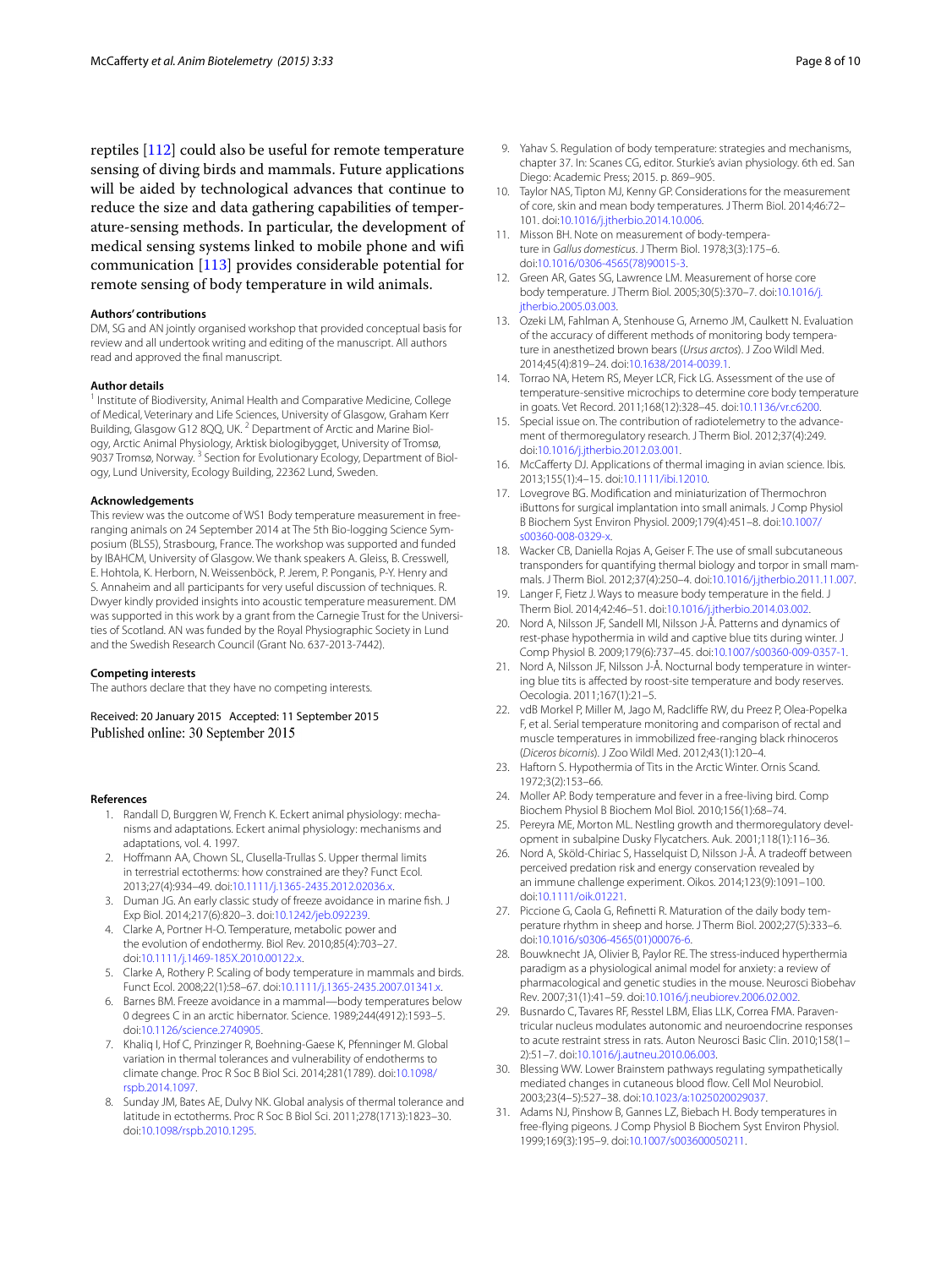reptiles [\[112](#page-9-38)] could also be useful for remote temperature sensing of diving birds and mammals. Future applications will be aided by technological advances that continue to reduce the size and data gathering capabilities of temperature-sensing methods. In particular, the development of medical sensing systems linked to mobile phone and wifi communication [\[113\]](#page-9-39) provides considerable potential for remote sensing of body temperature in wild animals.

#### **Authors' contributions**

DM, SG and AN jointly organised workshop that provided conceptual basis for review and all undertook writing and editing of the manuscript. All authors read and approved the final manuscript.

### **Author details**

<sup>1</sup> Institute of Biodiversity, Animal Health and Comparative Medicine, College of Medical, Veterinary and Life Sciences, University of Glasgow, Graham Kerr Building, Glasgow G12 8QQ, UK. <sup>2</sup> Department of Arctic and Marine Biology, Arctic Animal Physiology, Arktisk biologibygget, University of Tromsø, 9037 Tromsø, Norway.<sup>3</sup> Section for Evolutionary Ecology, Department of Biology, Lund University, Ecology Building, 22362 Lund, Sweden.

#### **Acknowledgements**

This review was the outcome of WS1 Body temperature measurement in freeranging animals on 24 September 2014 at The 5th Bio-logging Science Symposium (BLS5), Strasbourg, France. The workshop was supported and funded by IBAHCM, University of Glasgow. We thank speakers A. Gleiss, B. Cresswell, E. Hohtola, K. Herborn, N. Weissenböck, P. Jerem, P. Ponganis, P-Y. Henry and S. Annaheim and all participants for very useful discussion of techniques. R. Dwyer kindly provided insights into acoustic temperature measurement. DM was supported in this work by a grant from the Carnegie Trust for the Universities of Scotland. AN was funded by the Royal Physiographic Society in Lund and the Swedish Research Council (Grant No. 637-2013-7442).

#### **Competing interests**

The authors declare that they have no competing interests.

Received: 20 January 2015 Accepted: 11 September 2015 Published online: 30 September 2015

### <span id="page-7-0"></span>**References**

- 1. Randall D, Burggren W, French K. Eckert animal physiology: mechanisms and adaptations. Eckert animal physiology: mechanisms and adaptations, vol. 4. 1997.
- <span id="page-7-1"></span>2. Hoffmann AA, Chown SL, Clusella-Trullas S. Upper thermal limits in terrestrial ectotherms: how constrained are they? Funct Ecol. 2013;27(4):934–49. doi[:10.1111/j.1365-2435.2012.02036.x.](http://dx.doi.org/10.1111/j.1365-2435.2012.02036.x)
- <span id="page-7-2"></span>3. Duman JG. An early classic study of freeze avoidance in marine fish. J Exp Biol. 2014;217(6):820–3. doi:[10.1242/jeb.092239](http://dx.doi.org/10.1242/jeb.092239).
- <span id="page-7-3"></span>4. Clarke A, Portner H-O. Temperature, metabolic power and the evolution of endothermy. Biol Rev. 2010;85(4):703–27. doi[:10.1111/j.1469-185X.2010.00122.x.](http://dx.doi.org/10.1111/j.1469-185X.2010.00122.x)
- <span id="page-7-4"></span>5. Clarke A, Rothery P. Scaling of body temperature in mammals and birds. Funct Ecol. 2008;22(1):58–67. doi[:10.1111/j.1365-2435.2007.01341.x.](http://dx.doi.org/10.1111/j.1365-2435.2007.01341.x)
- <span id="page-7-5"></span>6. Barnes BM. Freeze avoidance in a mammal—body temperatures below 0 degrees C in an arctic hibernator. Science. 1989;244(4912):1593–5. doi[:10.1126/science.2740905](http://dx.doi.org/10.1126/science.2740905).
- <span id="page-7-6"></span>7. Khaliq I, Hof C, Prinzinger R, Boehning-Gaese K, Pfenninger M. Global variation in thermal tolerances and vulnerability of endotherms to climate change. Proc R Soc B Biol Sci. 2014;281(1789). doi:[10.1098/](http://dx.doi.org/10.1098/rspb.2014.1097) [rspb.2014.1097](http://dx.doi.org/10.1098/rspb.2014.1097).
- <span id="page-7-7"></span>8. Sunday JM, Bates AE, Dulvy NK. Global analysis of thermal tolerance and latitude in ectotherms. Proc R Soc B Biol Sci. 2011;278(1713):1823–30. doi[:10.1098/rspb.2010.1295](http://dx.doi.org/10.1098/rspb.2010.1295).
- <span id="page-7-8"></span>Yahav S. Regulation of body temperature: strategies and mechanisms, chapter 37. In: Scanes CG, editor. Sturkie's avian physiology. 6th ed. San Diego: Academic Press; 2015. p. 869–905.
- <span id="page-7-9"></span>10. Taylor NAS, Tipton MJ, Kenny GP. Considerations for the measurement of core, skin and mean body temperatures. J Therm Biol. 2014;46:72– 101. doi[:10.1016/j.jtherbio.2014.10.006](http://dx.doi.org/10.1016/j.jtherbio.2014.10.006).
- <span id="page-7-10"></span>11. Misson BH. Note on measurement of body-temperature in *Gallus domesticus*. J Therm Biol. 1978;3(3):175–6. doi[:10.1016/0306-4565\(78\)90015-3](http://dx.doi.org/10.1016/0306-4565(78)90015-3).
- 12. Green AR, Gates SG, Lawrence LM. Measurement of horse core body temperature. J Therm Biol. 2005;30(5):370–7. doi[:10.1016/j.](http://dx.doi.org/10.1016/j.jtherbio.2005.03.003) [jtherbio.2005.03.003](http://dx.doi.org/10.1016/j.jtherbio.2005.03.003).
- 13. Ozeki LM, Fahlman A, Stenhouse G, Arnemo JM, Caulkett N. Evaluation of the accuracy of different methods of monitoring body temperature in anesthetized brown bears (*Ursus arctos*). J Zoo Wildl Med. 2014;45(4):819–24. doi[:10.1638/2014-0039.1.](http://dx.doi.org/10.1638/2014-0039.1)
- <span id="page-7-11"></span>14. Torrao NA, Hetem RS, Meyer LCR, Fick LG. Assessment of the use of temperature-sensitive microchips to determine core body temperature in goats. Vet Record. 2011;168(12):328–45. doi[:10.1136/vr.c6200.](http://dx.doi.org/10.1136/vr.c6200)
- <span id="page-7-12"></span>15. Special issue on. The contribution of radiotelemetry to the advancement of thermoregulatory research. J Therm Biol. 2012;37(4):249. doi[:10.1016/j.jtherbio.2012.03.001](http://dx.doi.org/10.1016/j.jtherbio.2012.03.001).
- <span id="page-7-25"></span>16. McCafferty DJ. Applications of thermal imaging in avian science. Ibis. 2013;155(1):4–15. doi:[10.1111/ibi.12010](http://dx.doi.org/10.1111/ibi.12010).
- <span id="page-7-13"></span>17. Lovegrove BG. Modification and miniaturization of Thermochron iButtons for surgical implantation into small animals. J Comp Physiol B Biochem Syst Environ Physiol. 2009;179(4):451–8. doi[:10.1007/](http://dx.doi.org/10.1007/s00360-008-0329-x) [s00360-008-0329-x.](http://dx.doi.org/10.1007/s00360-008-0329-x)
- <span id="page-7-14"></span>18. Wacker CB, Daniella Rojas A, Geiser F. The use of small subcutaneous transponders for quantifying thermal biology and torpor in small mammals. J Therm Biol. 2012;37(4):250–4. doi[:10.1016/j.jtherbio.2011.11.007](http://dx.doi.org/10.1016/j.jtherbio.2011.11.007).
- <span id="page-7-15"></span>19. Langer F, Fietz J. Ways to measure body temperature in the field. J Therm Biol. 2014;42:46–51. doi[:10.1016/j.jtherbio.2014.03.002](http://dx.doi.org/10.1016/j.jtherbio.2014.03.002).
- <span id="page-7-16"></span>20. Nord A, Nilsson JF, Sandell MI, Nilsson J-Å. Patterns and dynamics of rest-phase hypothermia in wild and captive blue tits during winter. J Comp Physiol B. 2009;179(6):737–45. doi[:10.1007/s00360-009-0357-1](http://dx.doi.org/10.1007/s00360-009-0357-1).
- 21. Nord A, Nilsson JF, Nilsson J-Å. Nocturnal body temperature in wintering blue tits is affected by roost-site temperature and body reserves. Oecologia. 2011;167(1):21–5.
- <span id="page-7-17"></span>22. vdB Morkel P, Miller M, Jago M, Radcliffe RW, du Preez P, Olea-Popelka F, et al. Serial temperature monitoring and comparison of rectal and muscle temperatures in immobilized free-ranging black rhinoceros (*Diceros bicornis*). J Zoo Wildl Med. 2012;43(1):120–4.
- <span id="page-7-18"></span>23. Haftorn S. Hypothermia of Tits in the Arctic Winter. Ornis Scand. 1972;3(2):153–66.
- <span id="page-7-19"></span>24. Moller AP. Body temperature and fever in a free-living bird. Comp Biochem Physiol B Biochem Mol Biol. 2010;156(1):68–74.
- 25. Pereyra ME, Morton ML. Nestling growth and thermoregulatory development in subalpine Dusky Flycatchers. Auk. 2001;118(1):116–36.
- 26. Nord A, Sköld-Chiriac S, Hasselquist D, Nilsson J-Å. A tradeoff between perceived predation risk and energy conservation revealed by an immune challenge experiment. Oikos. 2014;123(9):1091–100. doi[:10.1111/oik.01221.](http://dx.doi.org/10.1111/oik.01221)
- <span id="page-7-20"></span>27. Piccione G, Caola G, Refinetti R. Maturation of the daily body temperature rhythm in sheep and horse. J Therm Biol. 2002;27(5):333–6. doi[:10.1016/s0306-4565\(01\)00076-6](http://dx.doi.org/10.1016/s0306-4565(01)00076-6).
- <span id="page-7-21"></span>28. Bouwknecht JA, Olivier B, Paylor RE. The stress-induced hyperthermia paradigm as a physiological animal model for anxiety: a review of pharmacological and genetic studies in the mouse. Neurosci Biobehav Rev. 2007;31(1):41–59. doi[:10.1016/j.neubiorev.2006.02.002](http://dx.doi.org/10.1016/j.neubiorev.2006.02.002).
- <span id="page-7-22"></span>29. Busnardo C, Tavares RF, Resstel LBM, Elias LLK, Correa FMA. Paraventricular nucleus modulates autonomic and neuroendocrine responses to acute restraint stress in rats. Auton Neurosci Basic Clin. 2010;158(1– 2):51–7. doi[:10.1016/j.autneu.2010.06.003.](http://dx.doi.org/10.1016/j.autneu.2010.06.003)
- <span id="page-7-23"></span>30. Blessing WW. Lower Brainstem pathways regulating sympathetically mediated changes in cutaneous blood flow. Cell Mol Neurobiol. 2003;23(4–5):527–38. doi[:10.1023/a:1025020029037](http://dx.doi.org/10.1023/a:1025020029037).
- <span id="page-7-24"></span>31. Adams NJ, Pinshow B, Gannes LZ, Biebach H. Body temperatures in free-flying pigeons. J Comp Physiol B Biochem Syst Environ Physiol. 1999;169(3):195–9. doi[:10.1007/s003600050211](http://dx.doi.org/10.1007/s003600050211).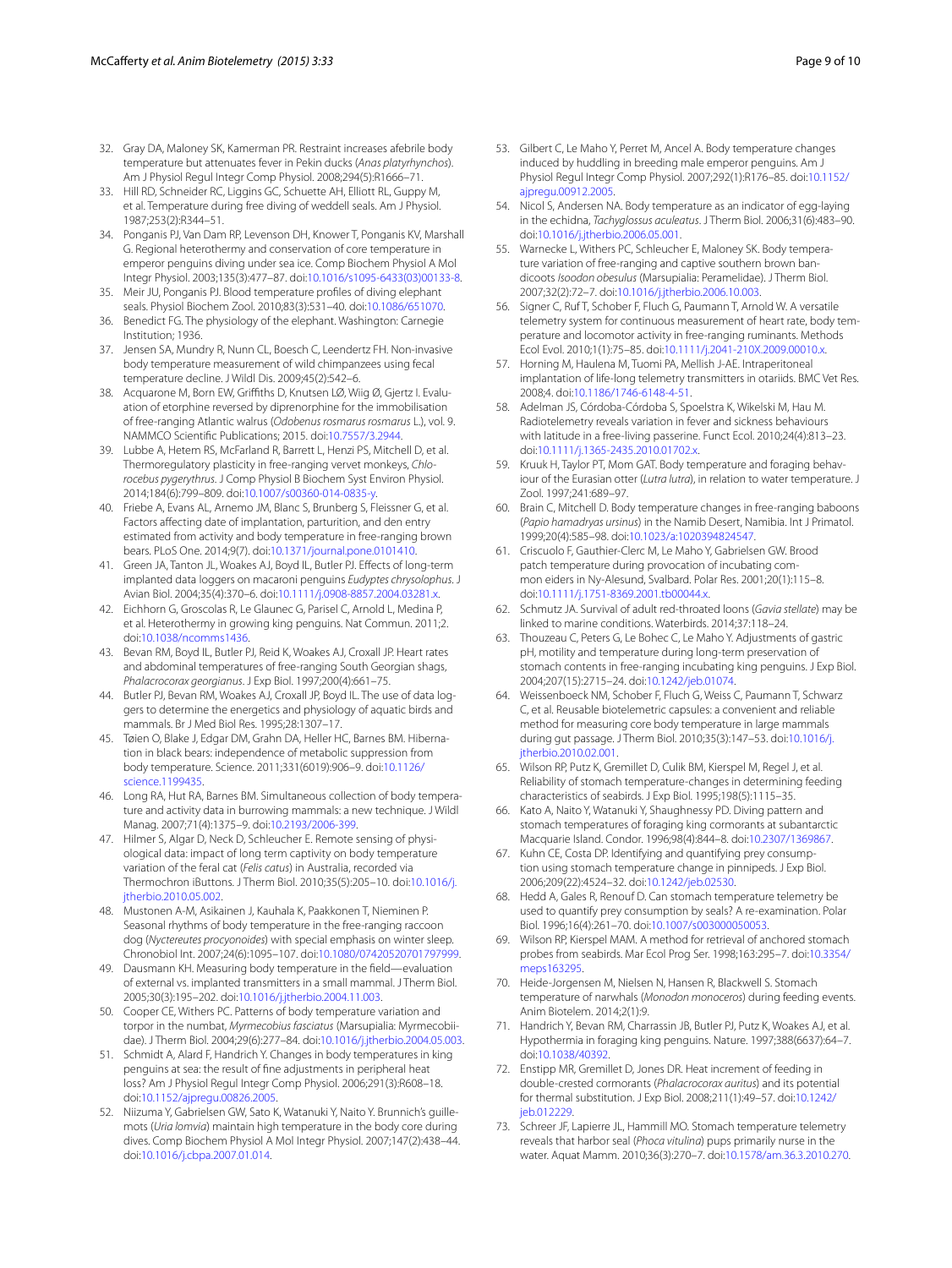- <span id="page-8-0"></span>32. Gray DA, Maloney SK, Kamerman PR. Restraint increases afebrile body temperature but attenuates fever in Pekin ducks (*Anas platyrhynchos*). Am J Physiol Regul Integr Comp Physiol. 2008;294(5):R1666–71.
- <span id="page-8-1"></span>33. Hill RD, Schneider RC, Liggins GC, Schuette AH, Elliott RL, Guppy M, et al. Temperature during free diving of weddell seals. Am J Physiol. 1987;253(2):R344–51.
- 34. Ponganis PJ, Van Dam RP, Levenson DH, Knower T, Ponganis KV, Marshall G. Regional heterothermy and conservation of core temperature in emperor penguins diving under sea ice. Comp Biochem Physiol A Mol Integr Physiol. 2003;135(3):477–87. doi[:10.1016/s1095-6433\(03\)00133-8.](http://dx.doi.org/10.1016/s1095-6433(03)00133-8)
- <span id="page-8-2"></span>35. Meir JU, Ponganis PJ. Blood temperature profiles of diving elephant seals. Physiol Biochem Zool. 2010;83(3):531–40. doi[:10.1086/651070](http://dx.doi.org/10.1086/651070).
- <span id="page-8-3"></span>36. Benedict FG. The physiology of the elephant. Washington: Carnegie Institution; 1936.
- <span id="page-8-4"></span>37. Jensen SA, Mundry R, Nunn CL, Boesch C, Leendertz FH. Non-invasive body temperature measurement of wild chimpanzees using fecal temperature decline. J Wildl Dis. 2009;45(2):542–6.
- <span id="page-8-5"></span>38. Acquarone M, Born EW, Griffiths D, Knutsen LØ, Wiig Ø, Gjertz I. Evaluation of etorphine reversed by diprenorphine for the immobilisation of free-ranging Atlantic walrus (*Odobenus rosmarus rosmarus* L.), vol. 9. NAMMCO Scientific Publications; 2015. doi[:10.7557/3.2944.](http://dx.doi.org/10.7557/3.2944)
- <span id="page-8-6"></span>39. Lubbe A, Hetem RS, McFarland R, Barrett L, Henzi PS, Mitchell D, et al. Thermoregulatory plasticity in free-ranging vervet monkeys, *Chlorocebus pygerythrus*. J Comp Physiol B Biochem Syst Environ Physiol. 2014;184(6):799–809. doi:[10.1007/s00360-014-0835-y](http://dx.doi.org/10.1007/s00360-014-0835-y).
- <span id="page-8-7"></span>40. Friebe A, Evans AL, Arnemo JM, Blanc S, Brunberg S, Fleissner G, et al. Factors affecting date of implantation, parturition, and den entry estimated from activity and body temperature in free-ranging brown bears. PLoS One. 2014;9(7). doi[:10.1371/journal.pone.0101410.](http://dx.doi.org/10.1371/journal.pone.0101410)
- <span id="page-8-8"></span>41. Green JA, Tanton JL, Woakes AJ, Boyd IL, Butler PJ. Effects of long-term implanted data loggers on macaroni penguins *Eudyptes chrysolophus*. J Avian Biol. 2004;35(4):370–6. doi:[10.1111/j.0908-8857.2004.03281.x](http://dx.doi.org/10.1111/j.0908-8857.2004.03281.x).
- <span id="page-8-9"></span>42. Eichhorn G, Groscolas R, Le Glaunec G, Parisel C, Arnold L, Medina P, et al. Heterothermy in growing king penguins. Nat Commun. 2011;2. doi[:10.1038/ncomms1436](http://dx.doi.org/10.1038/ncomms1436).
- <span id="page-8-10"></span>43. Bevan RM, Boyd IL, Butler PJ, Reid K, Woakes AJ, Croxall JP. Heart rates and abdominal temperatures of free-ranging South Georgian shags, *Phalacrocorax georgianus*. J Exp Biol. 1997;200(4):661–75.
- 44. Butler PJ, Bevan RM, Woakes AJ, Croxall JP, Boyd IL. The use of data loggers to determine the energetics and physiology of aquatic birds and mammals. Br J Med Biol Res. 1995;28:1307–17.
- <span id="page-8-11"></span>45. Tøien O, Blake J, Edgar DM, Grahn DA, Heller HC, Barnes BM. Hibernation in black bears: independence of metabolic suppression from body temperature. Science. 2011;331(6019):906–9. doi:[10.1126/](http://dx.doi.org/10.1126/science.1199435) [science.1199435](http://dx.doi.org/10.1126/science.1199435).
- <span id="page-8-12"></span>46. Long RA, Hut RA, Barnes BM. Simultaneous collection of body temperature and activity data in burrowing mammals: a new technique. J Wildl Manag. 2007;71(4):1375–9. doi[:10.2193/2006-399.](http://dx.doi.org/10.2193/2006-399)
- <span id="page-8-20"></span>47. Hilmer S, Algar D, Neck D, Schleucher E. Remote sensing of physiological data: impact of long term captivity on body temperature variation of the feral cat (*Felis catus*) in Australia, recorded via Thermochron iButtons. J Therm Biol. 2010;35(5):205–10. doi:[10.1016/j.](http://dx.doi.org/10.1016/j.jtherbio.2010.05.002) [jtherbio.2010.05.002](http://dx.doi.org/10.1016/j.jtherbio.2010.05.002).
- <span id="page-8-13"></span>48. Mustonen A-M, Asikainen J, Kauhala K, Paakkonen T, Nieminen P. Seasonal rhythms of body temperature in the free-ranging raccoon dog (*Nyctereutes procyonoides*) with special emphasis on winter sleep. Chronobiol Int. 2007;24(6):1095–107. doi[:10.1080/07420520701797999](http://dx.doi.org/10.1080/07420520701797999).
- <span id="page-8-14"></span>49. Dausmann KH. Measuring body temperature in the field—evaluation of external vs. implanted transmitters in a small mammal. J Therm Biol. 2005;30(3):195–202. doi[:10.1016/j.jtherbio.2004.11.003](http://dx.doi.org/10.1016/j.jtherbio.2004.11.003).
- <span id="page-8-15"></span>50. Cooper CE, Withers PC. Patterns of body temperature variation and torpor in the numbat, *Myrmecobius fasciatus* (Marsupialia: Myrmecobiidae). J Therm Biol. 2004;29(6):277–84. doi[:10.1016/j.jtherbio.2004.05.003](http://dx.doi.org/10.1016/j.jtherbio.2004.05.003).
- <span id="page-8-16"></span>51. Schmidt A, Alard F, Handrich Y. Changes in body temperatures in king penguins at sea: the result of fine adjustments in peripheral heat loss? Am J Physiol Regul Integr Comp Physiol. 2006;291(3):R608–18. doi[:10.1152/ajpregu.00826.2005](http://dx.doi.org/10.1152/ajpregu.00826.2005).
- <span id="page-8-17"></span>52. Niizuma Y, Gabrielsen GW, Sato K, Watanuki Y, Naito Y. Brunnich's guillemots (*Uria lomvia*) maintain high temperature in the body core during dives. Comp Biochem Physiol A Mol Integr Physiol. 2007;147(2):438–44. doi[:10.1016/j.cbpa.2007.01.014.](http://dx.doi.org/10.1016/j.cbpa.2007.01.014)
- <span id="page-8-18"></span>53. Gilbert C, Le Maho Y, Perret M, Ancel A. Body temperature changes induced by huddling in breeding male emperor penguins. Am J Physiol Regul Integr Comp Physiol. 2007;292(1):R176–85. doi:[10.1152/](http://dx.doi.org/10.1152/ajpregu.00912.2005) [ajpregu.00912.2005.](http://dx.doi.org/10.1152/ajpregu.00912.2005)
- <span id="page-8-19"></span>54. Nicol S, Andersen NA. Body temperature as an indicator of egg-laying in the echidna, *Tachyglossus aculeatus*. J Therm Biol. 2006;31(6):483–90. doi[:10.1016/j.jtherbio.2006.05.001](http://dx.doi.org/10.1016/j.jtherbio.2006.05.001).
- <span id="page-8-21"></span>55. Warnecke L, Withers PC, Schleucher E, Maloney SK. Body temperature variation of free-ranging and captive southern brown bandicoots *Isoodon obesulus* (Marsupialia: Peramelidae). J Therm Biol. 2007;32(2):72–7. doi[:10.1016/j.jtherbio.2006.10.003](http://dx.doi.org/10.1016/j.jtherbio.2006.10.003).
- <span id="page-8-22"></span>56. Signer C, Ruf T, Schober F, Fluch G, Paumann T, Arnold W. A versatile telemetry system for continuous measurement of heart rate, body temperature and locomotor activity in free-ranging ruminants. Methods Ecol Evol. 2010;1(1):75–85. doi[:10.1111/j.2041-210X.2009.00010.x](http://dx.doi.org/10.1111/j.2041-210X.2009.00010.x).
- <span id="page-8-23"></span>57. Horning M, Haulena M, Tuomi PA, Mellish J-AE. Intraperitoneal implantation of life-long telemetry transmitters in otariids. BMC Vet Res. 2008;4. doi:[10.1186/1746-6148-4-51.](http://dx.doi.org/10.1186/1746-6148-4-51)
- <span id="page-8-24"></span>58. Adelman JS, Córdoba-Córdoba S, Spoelstra K, Wikelski M, Hau M. Radiotelemetry reveals variation in fever and sickness behaviours with latitude in a free-living passerine. Funct Ecol. 2010;24(4):813–23. doi[:10.1111/j.1365-2435.2010.01702.x](http://dx.doi.org/10.1111/j.1365-2435.2010.01702.x).
- <span id="page-8-25"></span>59. Kruuk H, Taylor PT, Mom GAT. Body temperature and foraging behaviour of the Eurasian otter (*Lutra lutra*), in relation to water temperature. J Zool. 1997;241:689–97.
- 60. Brain C, Mitchell D. Body temperature changes in free-ranging baboons (*Papio hamadryas ursinus*) in the Namib Desert, Namibia. Int J Primatol. 1999;20(4):585–98. doi[:10.1023/a:1020394824547.](http://dx.doi.org/10.1023/a:1020394824547)
- 61. Criscuolo F, Gauthier-Clerc M, Le Maho Y, Gabrielsen GW. Brood patch temperature during provocation of incubating common eiders in Ny-Alesund, Svalbard. Polar Res. 2001;20(1):115–8. doi[:10.1111/j.1751-8369.2001.tb00044.x](http://dx.doi.org/10.1111/j.1751-8369.2001.tb00044.x).
- <span id="page-8-26"></span>62. Schmutz JA. Survival of adult red-throated loons (*Gavia stellate*) may be linked to marine conditions. Waterbirds. 2014;37:118–24.
- <span id="page-8-27"></span>63. Thouzeau C, Peters G, Le Bohec C, Le Maho Y. Adjustments of gastric pH, motility and temperature during long-term preservation of stomach contents in free-ranging incubating king penguins. J Exp Biol. 2004;207(15):2715–24. doi[:10.1242/jeb.01074](http://dx.doi.org/10.1242/jeb.01074).
- <span id="page-8-28"></span>64. Weissenboeck NM, Schober F, Fluch G, Weiss C, Paumann T, Schwarz C, et al. Reusable biotelemetric capsules: a convenient and reliable method for measuring core body temperature in large mammals during gut passage. J Therm Biol. 2010;35(3):147–53. doi[:10.1016/j.](http://dx.doi.org/10.1016/j.jtherbio.2010.02.001) [jtherbio.2010.02.001](http://dx.doi.org/10.1016/j.jtherbio.2010.02.001).
- <span id="page-8-29"></span>65. Wilson RP, Putz K, Gremillet D, Culik BM, Kierspel M, Regel J, et al. Reliability of stomach temperature-changes in determining feeding characteristics of seabirds. J Exp Biol. 1995;198(5):1115–35.
- 66. Kato A, Naito Y, Watanuki Y, Shaughnessy PD. Diving pattern and stomach temperatures of foraging king cormorants at subantarctic Macquarie Island. Condor. 1996;98(4):844–8. doi[:10.2307/1369867](http://dx.doi.org/10.2307/1369867).
- <span id="page-8-30"></span>67. Kuhn CE, Costa DP. Identifying and quantifying prey consumption using stomach temperature change in pinnipeds. J Exp Biol. 2006;209(22):4524–32. doi[:10.1242/jeb.02530](http://dx.doi.org/10.1242/jeb.02530).
- <span id="page-8-31"></span>68. Hedd A, Gales R, Renouf D. Can stomach temperature telemetry be used to quantify prey consumption by seals? A re-examination. Polar Biol. 1996;16(4):261–70. doi[:10.1007/s003000050053](http://dx.doi.org/10.1007/s003000050053).
- <span id="page-8-32"></span>69. Wilson RP, Kierspel MAM. A method for retrieval of anchored stomach probes from seabirds. Mar Ecol Prog Ser. 1998;163:295–7. doi[:10.3354/](http://dx.doi.org/10.3354/meps163295) [meps163295](http://dx.doi.org/10.3354/meps163295).
- <span id="page-8-33"></span>70. Heide-Jorgensen M, Nielsen N, Hansen R, Blackwell S. Stomach temperature of narwhals (*Monodon monoceros*) during feeding events. Anim Biotelem. 2014;2(1):9.
- <span id="page-8-34"></span>71. Handrich Y, Bevan RM, Charrassin JB, Butler PJ, Putz K, Woakes AJ, et al. Hypothermia in foraging king penguins. Nature. 1997;388(6637):64–7. doi[:10.1038/40392](http://dx.doi.org/10.1038/40392).
- <span id="page-8-35"></span>72. Enstipp MR, Gremillet D, Jones DR. Heat increment of feeding in double-crested cormorants (*Phalacrocorax auritus*) and its potential for thermal substitution. J Exp Biol. 2008;211(1):49–57. doi[:10.1242/](http://dx.doi.org/10.1242/jeb.012229) [jeb.012229](http://dx.doi.org/10.1242/jeb.012229).
- <span id="page-8-36"></span>73. Schreer JF, Lapierre JL, Hammill MO. Stomach temperature telemetry reveals that harbor seal (*Phoca vitulina*) pups primarily nurse in the water. Aquat Mamm. 2010;36(3):270–7. doi:[10.1578/am.36.3.2010.270](http://dx.doi.org/10.1578/am.36.3.2010.270).